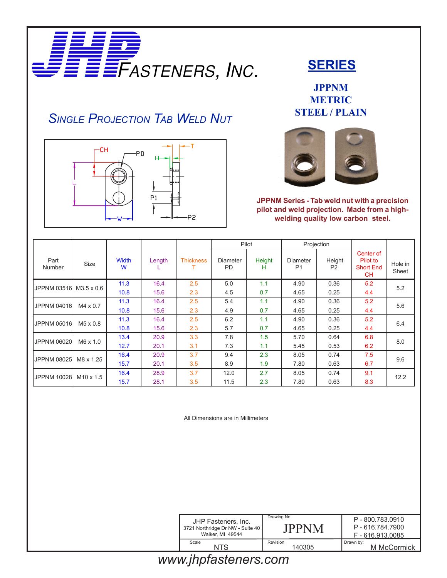

## *Single Projection Tab Weld Nut*



#### **SERIES**

**JPPNM METRIC STEEL / PLAIN**



**JPPNM Series - Tab weld nut with a precision pilot and weld projection. Made from a highwelding quality low carbon steel.**

|                        |                  |            |        |                  | Pilot                 |             | Projection                        |                          |                                                 |                  |
|------------------------|------------------|------------|--------|------------------|-----------------------|-------------|-----------------------------------|--------------------------|-------------------------------------------------|------------------|
| Part<br>Number         | Size             | Width<br>W | Length | <b>Thickness</b> | Diameter<br><b>PD</b> | Height<br>н | <b>Diameter</b><br>P <sub>1</sub> | Height<br>P <sub>2</sub> | Center of<br>Pilot to<br><b>Short End</b><br>CН | Hole in<br>Sheet |
| JPPNM 03516 M3.5 x 0.6 |                  | 11.3       | 16.4   | 2.5              | 5.0                   | 1.1         | 4.90                              | 0.36                     | 5.2                                             | 5.2              |
|                        |                  | 10.8       | 15.6   | 2.3              | 4.5                   | 0.7         | 4.65                              | 0.25                     | 4.4                                             |                  |
| <b>JPPNM 04016</b>     | $M4 \times 0.7$  | 11.3       | 16.4   | 2.5              | 5.4                   | 1.1         | 4.90                              | 0.36                     | 5.2                                             | 5.6              |
|                        |                  | 10.8       | 15.6   | 2.3              | 4.9                   | 0.7         | 4.65                              | 0.25                     | 4.4                                             |                  |
| JPPNM 05016            | $M5 \times 0.8$  | 11.3       | 16.4   | 2.5              | 6.2                   | 1.1         | 4.90                              | 0.36                     | 5.2                                             | 6.4              |
|                        |                  | 10.8       | 15.6   | 2.3              | 5.7                   | 0.7         | 4.65                              | 0.25                     | 4.4                                             |                  |
| <b>JPPNM 06020</b>     | $M6 \times 1.0$  | 13.4       | 20.9   | 3.3              | 7.8                   | 1.5         | 5.70                              | 0.64                     | 6.8                                             | 8.0              |
|                        |                  | 12.7       | 20.1   | 3.1              | 7.3                   | 1.1         | 5.45                              | 0.53                     | 6.2                                             |                  |
| JPPNM 08025            | M8 x 1.25        | 16.4       | 20.9   | 3.7              | 9.4                   | 2.3         | 8.05                              | 0.74                     | 7.5                                             | 9.6              |
|                        |                  | 15.7       | 20.1   | 3.5              | 8.9                   | 1.9         | 7.80                              | 0.63                     | 6.7                                             |                  |
| <b>JPPNM 10028</b>     | $M10 \times 1.5$ | 16.4       | 28.9   | 3.7              | 12.0                  | 2.7         | 8.05                              | 0.74                     | 9.1                                             | 12.2             |
|                        |                  | 15.7       | 28.1   | 3.5              | 11.5                  | 2.3         | 7.80                              | 0.63                     | 8.3                                             |                  |

All Dimensions are in Millimeters

| JHP Fasteners, Inc.              | Drawing No         | P-800.783.0910           |
|----------------------------------|--------------------|--------------------------|
| 3721 Northridge Dr NW - Suite 40 | <b>JPPNM</b>       | P-616.784.7900           |
| Walker, MI 49544                 |                    | F-616.913.0085           |
| Scale<br>NTS                     | Revision<br>140305 | Drawn by:<br>M McCormick |
| . .                              |                    |                          |

# *www.jhpfasteners.com*